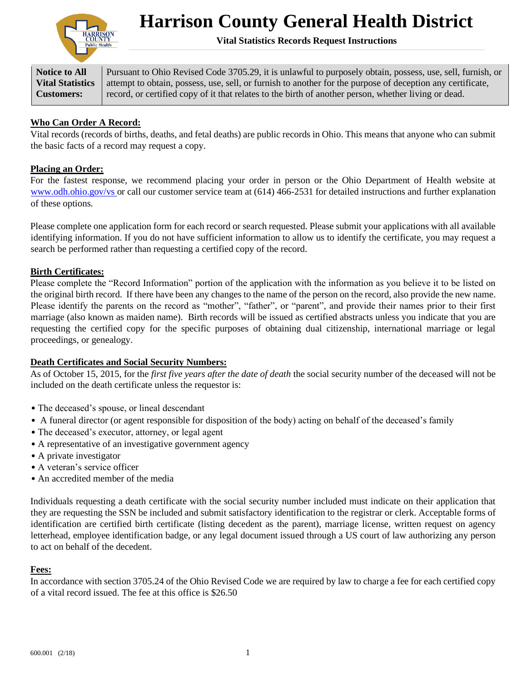

# **Harrison County General Health District**

**Vital Statistics Records Request Instructions**

**Notice to All Vital Statistics Customers:**

Pursuant to Ohio Revised Code 3705.29, it is unlawful to purposely obtain, possess, use, sell, furnish, or attempt to obtain, possess, use, sell, or furnish to another for the purpose of deception any certificate, record, or certified copy of it that relates to the birth of another person, whether living or dead.

## **Who Can Order A Record:**

Vital records (records of births, deaths, and fetal deaths) are public records in Ohio. This means that anyone who can submit the basic facts of a record may request a copy.

#### **Placing an Order:**

For the fastest response, we recommend placing your order in person or the Ohio Department of Health website at www.odh.ohio.gov/vs or call our customer service team at (614) 466-2531 for detailed instructions and further explanation of these options.

Please complete one application form for each record or search requested. Please submit your applications with all available identifying information. If you do not have sufficient information to allow us to identify the certificate, you may request a search be performed rather than requesting a certified copy of the record.

#### **Birth Certificates:**

Please complete the "Record Information" portion of the application with the information as you believe it to be listed on the original birth record. If there have been any changes to the name of the person on the record, also provide the new name. Please identify the parents on the record as "mother", "father", or "parent", and provide their names prior to their first marriage (also known as maiden name). Birth records will be issued as certified abstracts unless you indicate that you are requesting the certified copy for the specific purposes of obtaining dual citizenship, international marriage or legal proceedings, or genealogy.

### **Death Certificates and Social Security Numbers:**

As of October 15, 2015, for the *first five years after the date of death* the social security number of the deceased will not be included on the death certificate unless the requestor is:

- The deceased's spouse, or lineal descendant
- A funeral director (or agent responsible for disposition of the body) acting on behalf of the deceased's family
- The deceased's executor, attorney, or legal agent
- A representative of an investigative government agency
- A private investigator
- A veteran's service officer
- An accredited member of the media

Individuals requesting a death certificate with the social security number included must indicate on their application that they are requesting the SSN be included and submit satisfactory identification to the registrar or clerk. Acceptable forms of identification are certified birth certificate (listing decedent as the parent), marriage license, written request on agency letterhead, employee identification badge, or any legal document issued through a US court of law authorizing any person to act on behalf of the decedent.

#### **Fees:**

In accordance with section 3705.24 of the Ohio Revised Code we are required by law to charge a fee for each certified copy of a vital record issued. The fee at this office is \$26.50